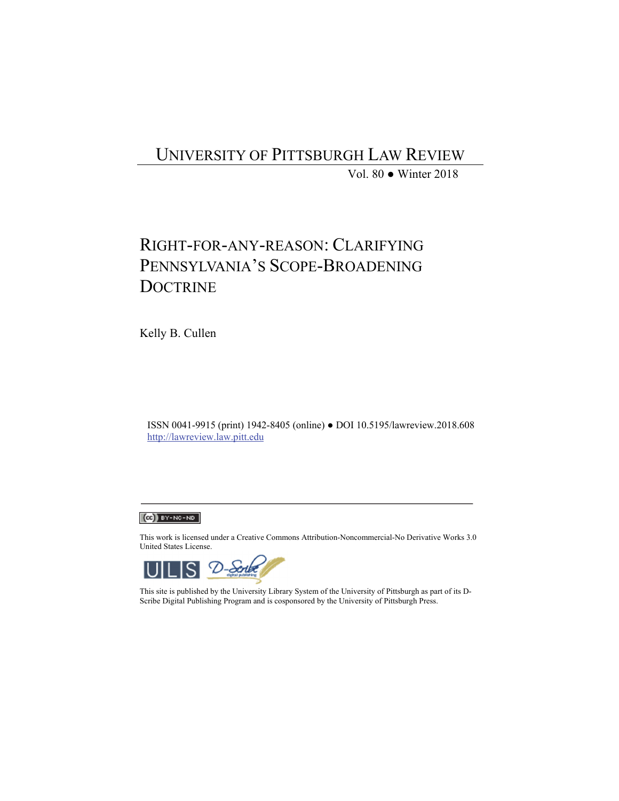## UNIVERSITY OF PITTSBURGH LAW REVIEW

Vol. 80 ● Winter 2018

# RIGHT-FOR-ANY-REASON: CLARIFYING PENNSYLVANIA'S SCOPE-BROADENING **DOCTRINE**

Kelly B. Cullen

ISSN 0041-9915 (print) 1942-8405 (online) ● DOI 10.5195/lawreview.2018.608 http://lawreview.law.pitt.edu

## $(G)$  BY-NC-ND

This work is licensed under a Creative Commons Attribution-Noncommercial-No Derivative Works 3.0 United States License.



This site is published by the University Library System of the University of Pittsburgh as part of its D-Scribe Digital Publishing Program and is cosponsored by the University of Pittsburgh Press.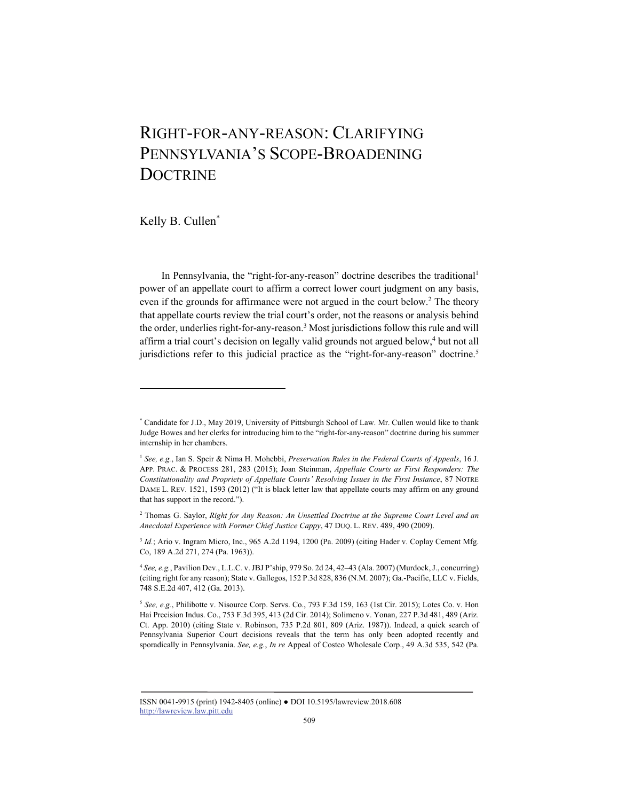# RIGHT-FOR-ANY-REASON: CLARIFYING PENNSYLVANIA'S SCOPE-BROADENING **DOCTRINE**

Kelly B. Cullen\*

l

In Pennsylvania, the "right-for-any-reason" doctrine describes the traditional<sup>1</sup> power of an appellate court to affirm a correct lower court judgment on any basis, even if the grounds for affirmance were not argued in the court below.<sup>2</sup> The theory that appellate courts review the trial court's order, not the reasons or analysis behind the order, underlies right-for-any-reason.<sup>3</sup> Most jurisdictions follow this rule and will affirm a trial court's decision on legally valid grounds not argued below,<sup>4</sup> but not all jurisdictions refer to this judicial practice as the "right-for-any-reason" doctrine.<sup>5</sup>

<sup>\*</sup> Candidate for J.D., May 2019, University of Pittsburgh School of Law. Mr. Cullen would like to thank Judge Bowes and her clerks for introducing him to the "right-for-any-reason" doctrine during his summer internship in her chambers.

<sup>1</sup> *See, e.g.*, Ian S. Speir & Nima H. Mohebbi, *Preservation Rules in the Federal Courts of Appeals*, 16 J. APP. PRAC. & PROCESS 281, 283 (2015); Joan Steinman, *Appellate Courts as First Responders: The Constitutionality and Propriety of Appellate Courts' Resolving Issues in the First Instance*, 87 NOTRE DAME L. REV. 1521, 1593 (2012) ("It is black letter law that appellate courts may affirm on any ground that has support in the record.").

<sup>2</sup> Thomas G. Saylor, *Right for Any Reason: An Unsettled Doctrine at the Supreme Court Level and an Anecdotal Experience with Former Chief Justice Cappy*, 47 DUQ. L. REV. 489, 490 (2009).

<sup>&</sup>lt;sup>3</sup> *Id.*; Ario v. Ingram Micro, Inc., 965 A.2d 1194, 1200 (Pa. 2009) (citing Hader v. Coplay Cement Mfg. Co, 189 A.2d 271, 274 (Pa. 1963)).

<sup>4</sup> *See, e.g.*, Pavilion Dev., L.L.C. v. JBJ P'ship, 979 So. 2d 24, 42–43 (Ala. 2007) (Murdock, J., concurring) (citing right for any reason); State v. Gallegos, 152 P.3d 828, 836 (N.M. 2007); Ga.-Pacific, LLC v. Fields, 748 S.E.2d 407, 412 (Ga. 2013).

<sup>5</sup> *See, e.g.*, Philibotte v. Nisource Corp. Servs. Co., 793 F.3d 159, 163 (1st Cir. 2015); Lotes Co. v. Hon Hai Precision Indus. Co., 753 F.3d 395, 413 (2d Cir. 2014); Solimeno v. Yonan, 227 P.3d 481, 489 (Ariz. Ct. App. 2010) (citing State v. Robinson, 735 P.2d 801, 809 (Ariz. 1987)). Indeed, a quick search of Pennsylvania Superior Court decisions reveals that the term has only been adopted recently and sporadically in Pennsylvania. *See, e.g.*, *In re* Appeal of Costco Wholesale Corp., 49 A.3d 535, 542 (Pa.

ISSN 0041-9915 (print) 1942-8405 (online) ● DOI 10.5195/lawreview.2018.608 http://lawreview.law.pitt.edu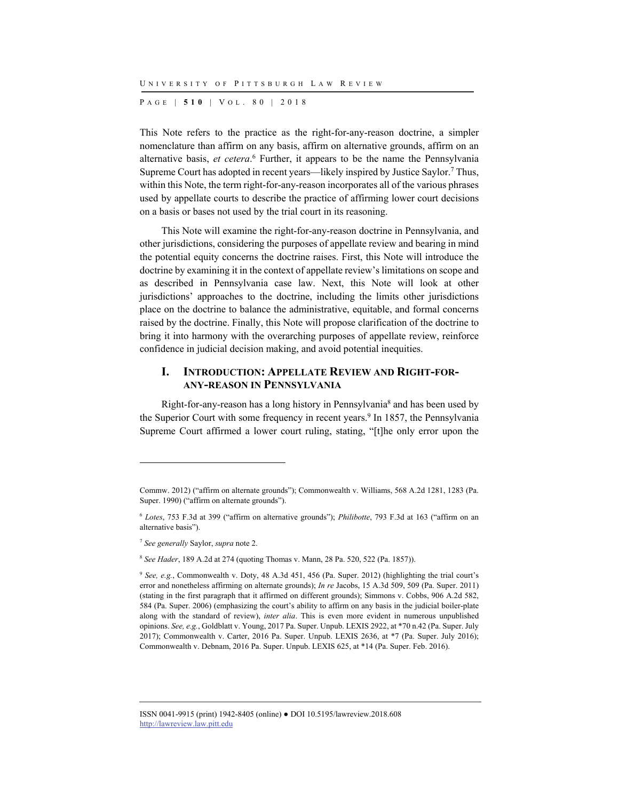P AGE | **510** | V O L . 8 0 | 2018

This Note refers to the practice as the right-for-any-reason doctrine, a simpler nomenclature than affirm on any basis, affirm on alternative grounds, affirm on an alternative basis, *et cetera*. 6 Further, it appears to be the name the Pennsylvania Supreme Court has adopted in recent years—likely inspired by Justice Saylor.7 Thus, within this Note, the term right-for-any-reason incorporates all of the various phrases used by appellate courts to describe the practice of affirming lower court decisions on a basis or bases not used by the trial court in its reasoning.

This Note will examine the right-for-any-reason doctrine in Pennsylvania, and other jurisdictions, considering the purposes of appellate review and bearing in mind the potential equity concerns the doctrine raises. First, this Note will introduce the doctrine by examining it in the context of appellate review's limitations on scope and as described in Pennsylvania case law. Next, this Note will look at other jurisdictions' approaches to the doctrine, including the limits other jurisdictions place on the doctrine to balance the administrative, equitable, and formal concerns raised by the doctrine. Finally, this Note will propose clarification of the doctrine to bring it into harmony with the overarching purposes of appellate review, reinforce confidence in judicial decision making, and avoid potential inequities.

#### **I. INTRODUCTION: APPELLATE REVIEW AND RIGHT-FOR-ANY-REASON IN PENNSYLVANIA**

Right-for-any-reason has a long history in Pennsylvania<sup>8</sup> and has been used by the Superior Court with some frequency in recent years.<sup>9</sup> In 1857, the Pennsylvania Supreme Court affirmed a lower court ruling, stating, "[t]he only error upon the

l

<sup>8</sup> *See Hader*, 189 A.2d at 274 (quoting Thomas v. Mann, 28 Pa. 520, 522 (Pa. 1857)).

Commw. 2012) ("affirm on alternate grounds"); Commonwealth v. Williams, 568 A.2d 1281, 1283 (Pa. Super. 1990) ("affirm on alternate grounds").

<sup>6</sup> *Lotes*, 753 F.3d at 399 ("affirm on alternative grounds"); *Philibotte*, 793 F.3d at 163 ("affirm on an alternative basis").

<sup>7</sup> *See generally* Saylor, *supra* note 2.

<sup>9</sup> *See, e.g.*, Commonwealth v. Doty, 48 A.3d 451, 456 (Pa. Super. 2012) (highlighting the trial court's error and nonetheless affirming on alternate grounds); *In re* Jacobs, 15 A.3d 509, 509 (Pa. Super. 2011) (stating in the first paragraph that it affirmed on different grounds); Simmons v. Cobbs, 906 A.2d 582, 584 (Pa. Super. 2006) (emphasizing the court's ability to affirm on any basis in the judicial boiler-plate along with the standard of review), *inter alia*. This is even more evident in numerous unpublished opinions. *See, e.g.*, Goldblatt v. Young, 2017 Pa. Super. Unpub. LEXIS 2922, at \*70 n.42 (Pa. Super. July 2017); Commonwealth v. Carter, 2016 Pa. Super. Unpub. LEXIS 2636, at \*7 (Pa. Super. July 2016); Commonwealth v. Debnam, 2016 Pa. Super. Unpub. LEXIS 625, at \*14 (Pa. Super. Feb. 2016).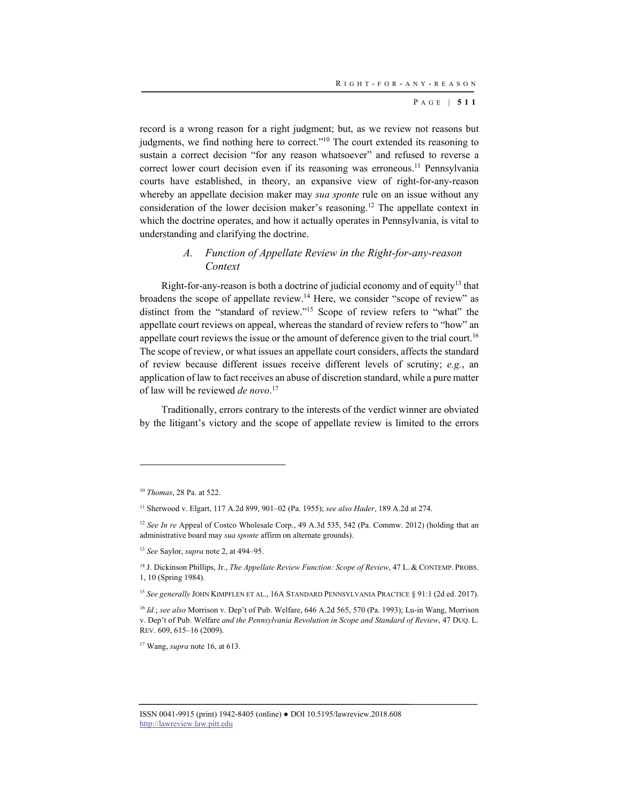record is a wrong reason for a right judgment; but, as we review not reasons but judgments, we find nothing here to correct."<sup>10</sup> The court extended its reasoning to sustain a correct decision "for any reason whatsoever" and refused to reverse a correct lower court decision even if its reasoning was erroneous.<sup>11</sup> Pennsylvania courts have established, in theory, an expansive view of right-for-any-reason whereby an appellate decision maker may *sua sponte* rule on an issue without any consideration of the lower decision maker's reasoning.12 The appellate context in which the doctrine operates, and how it actually operates in Pennsylvania, is vital to understanding and clarifying the doctrine.

### *A. Function of Appellate Review in the Right-for-any-reason Context*

Right-for-any-reason is both a doctrine of judicial economy and of equity<sup>13</sup> that broadens the scope of appellate review.14 Here, we consider "scope of review" as distinct from the "standard of review."15 Scope of review refers to "what" the appellate court reviews on appeal, whereas the standard of review refers to "how" an appellate court reviews the issue or the amount of deference given to the trial court.<sup>16</sup> The scope of review, or what issues an appellate court considers, affects the standard of review because different issues receive different levels of scrutiny; *e.g.*, an application of law to fact receives an abuse of discretion standard, while a pure matter of law will be reviewed *de novo*. 17

Traditionally, errors contrary to the interests of the verdict winner are obviated by the litigant's victory and the scope of appellate review is limited to the errors

<sup>10</sup> *Thomas*, 28 Pa. at 522.

<sup>11</sup> Sherwood v. Elgart, 117 A.2d 899, 901–02 (Pa. 1955); *see also Hader*, 189 A.2d at 274.

<sup>&</sup>lt;sup>12</sup> *See In re* Appeal of Costco Wholesale Corp., 49 A.3d 535, 542 (Pa. Commw. 2012) (holding that an administrative board may *sua sponte* affirm on alternate grounds).

<sup>13</sup> *See* Saylor, *supra* note 2, at 494–95.

<sup>14</sup> J. Dickinson Phillips, Jr., *The Appellate Review Function: Scope of Review*, 47 L. & CONTEMP. PROBS. 1, 10 (Spring 1984).

<sup>15</sup> *See generally* JOHN KIMPFLEN ET AL., 16A STANDARD PENNSYLVANIA PRACTICE § 91:1 (2d ed. 2017).

<sup>16</sup> *Id.*; *see also* Morrison v. Dep't of Pub. Welfare, 646 A.2d 565, 570 (Pa. 1993); Lu-in Wang, Morrison v. Dep't of Pub. Welfare *and the Pennsylvania Revolution in Scope and Standard of Review*, 47 DUQ. L. REV. 609, 615–16 (2009).

<sup>17</sup> Wang, *supra* note 16, at 613.

ISSN 0041-9915 (print) 1942-8405 (online) ● DOI 10.5195/lawreview.2018.608 http://lawreview.law.pitt.edu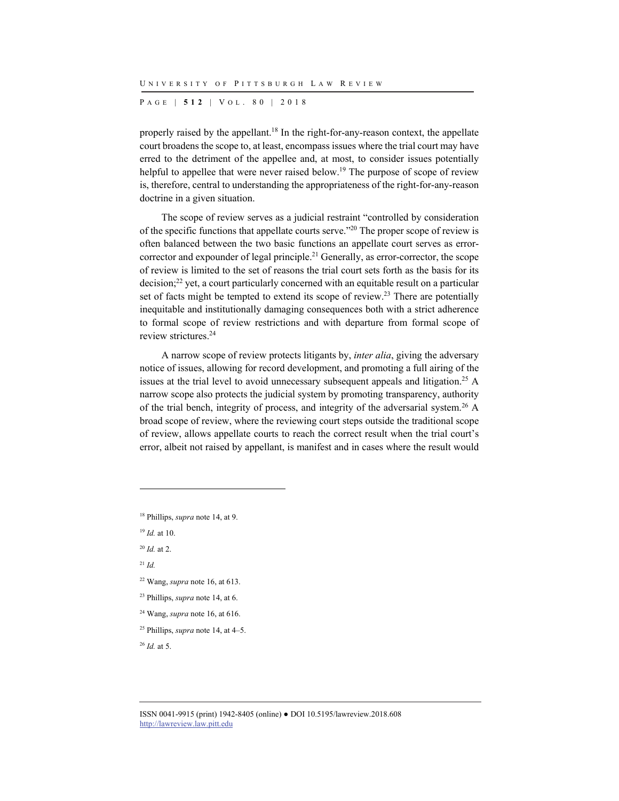P AGE | **512** | V O L . 8 0 | 2018

properly raised by the appellant.18 In the right-for-any-reason context, the appellate court broadens the scope to, at least, encompass issues where the trial court may have erred to the detriment of the appellee and, at most, to consider issues potentially helpful to appellee that were never raised below.<sup>19</sup> The purpose of scope of review is, therefore, central to understanding the appropriateness of the right-for-any-reason doctrine in a given situation.

The scope of review serves as a judicial restraint "controlled by consideration of the specific functions that appellate courts serve."20 The proper scope of review is often balanced between the two basic functions an appellate court serves as errorcorrector and expounder of legal principle.<sup>21</sup> Generally, as error-corrector, the scope of review is limited to the set of reasons the trial court sets forth as the basis for its decision;<sup>22</sup> yet, a court particularly concerned with an equitable result on a particular set of facts might be tempted to extend its scope of review.<sup>23</sup> There are potentially inequitable and institutionally damaging consequences both with a strict adherence to formal scope of review restrictions and with departure from formal scope of review strictures.24

A narrow scope of review protects litigants by, *inter alia*, giving the adversary notice of issues, allowing for record development, and promoting a full airing of the issues at the trial level to avoid unnecessary subsequent appeals and litigation.25 A narrow scope also protects the judicial system by promoting transparency, authority of the trial bench, integrity of process, and integrity of the adversarial system.26 A broad scope of review, where the reviewing court steps outside the traditional scope of review, allows appellate courts to reach the correct result when the trial court's error, albeit not raised by appellant, is manifest and in cases where the result would

18 Phillips, *supra* note 14, at 9.

<sup>19</sup> *Id.* at 10.

<sup>20</sup> *Id.* at 2.

<sup>21</sup> *Id.*

l

- 22 Wang, *supra* note 16, at 613.
- 23 Phillips, *supra* note 14, at 6.
- 24 Wang, *supra* note 16, at 616.
- 25 Phillips, *supra* note 14, at 4–5.

<sup>26</sup> *Id.* at 5.

ISSN 0041-9915 (print) 1942-8405 (online) ● DOI 10.5195/lawreview.2018.608 http://lawreview.law.pitt.edu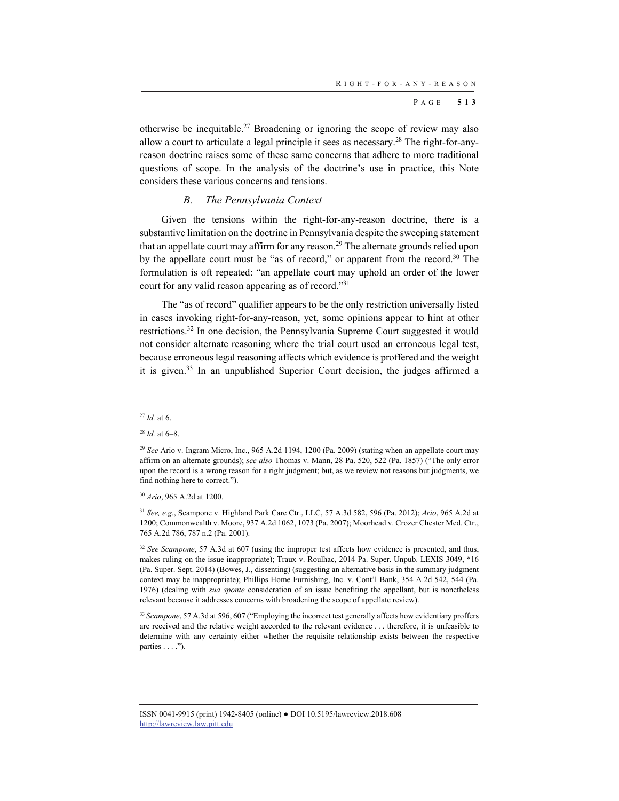otherwise be inequitable.27 Broadening or ignoring the scope of review may also allow a court to articulate a legal principle it sees as necessary.28 The right-for-anyreason doctrine raises some of these same concerns that adhere to more traditional questions of scope. In the analysis of the doctrine's use in practice, this Note considers these various concerns and tensions.

#### *B. The Pennsylvania Context*

Given the tensions within the right-for-any-reason doctrine, there is a substantive limitation on the doctrine in Pennsylvania despite the sweeping statement that an appellate court may affirm for any reason.<sup>29</sup> The alternate grounds relied upon by the appellate court must be "as of record," or apparent from the record. $30$  The formulation is oft repeated: "an appellate court may uphold an order of the lower court for any valid reason appearing as of record."31

The "as of record" qualifier appears to be the only restriction universally listed in cases invoking right-for-any-reason, yet, some opinions appear to hint at other restrictions.32 In one decision, the Pennsylvania Supreme Court suggested it would not consider alternate reasoning where the trial court used an erroneous legal test, because erroneous legal reasoning affects which evidence is proffered and the weight it is given. $33$  In an unpublished Superior Court decision, the judges affirmed a

l

<sup>30</sup> *Ario*, 965 A.2d at 1200.

<sup>31</sup> *See, e.g.*, Scampone v. Highland Park Care Ctr., LLC, 57 A.3d 582, 596 (Pa. 2012); *Ario*, 965 A.2d at 1200; Commonwealth v. Moore, 937 A.2d 1062, 1073 (Pa. 2007); Moorhead v. Crozer Chester Med. Ctr., 765 A.2d 786, 787 n.2 (Pa. 2001).

<sup>32</sup> *See Scampone*, 57 A.3d at 607 (using the improper test affects how evidence is presented, and thus, makes ruling on the issue inappropriate); Traux v. Roulhac, 2014 Pa. Super. Unpub. LEXIS 3049, \*16 (Pa. Super. Sept. 2014) (Bowes, J., dissenting) (suggesting an alternative basis in the summary judgment context may be inappropriate); Phillips Home Furnishing, Inc. v. Cont'l Bank, 354 A.2d 542, 544 (Pa. 1976) (dealing with *sua sponte* consideration of an issue benefiting the appellant, but is nonetheless relevant because it addresses concerns with broadening the scope of appellate review).

<sup>33</sup> Scampone, 57 A.3d at 596, 607 ("Employing the incorrect test generally affects how evidentiary proffers are received and the relative weight accorded to the relevant evidence . . . therefore, it is unfeasible to determine with any certainty either whether the requisite relationship exists between the respective parties . . . .").

<sup>27</sup> *Id.* at 6.

<sup>28</sup> *Id.* at 6–8.

<sup>29</sup> *See* Ario v. Ingram Micro, Inc., 965 A.2d 1194, 1200 (Pa. 2009) (stating when an appellate court may affirm on an alternate grounds); *see also* Thomas v. Mann, 28 Pa. 520, 522 (Pa. 1857) ("The only error upon the record is a wrong reason for a right judgment; but, as we review not reasons but judgments, we find nothing here to correct.").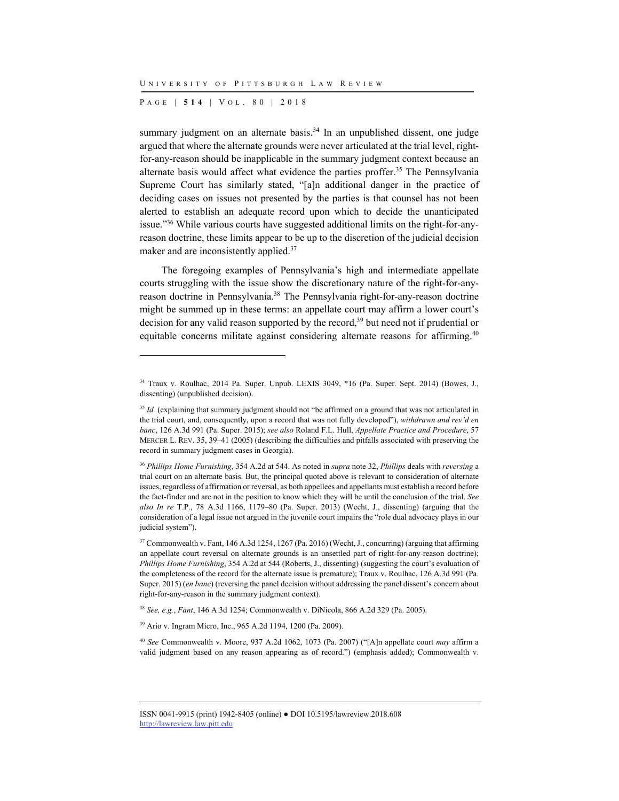P AGE | **514** | V O L . 8 0 | 2018

l

summary judgment on an alternate basis.<sup>34</sup> In an unpublished dissent, one judge argued that where the alternate grounds were never articulated at the trial level, rightfor-any-reason should be inapplicable in the summary judgment context because an alternate basis would affect what evidence the parties proffer.<sup>35</sup> The Pennsylvania Supreme Court has similarly stated, "[a]n additional danger in the practice of deciding cases on issues not presented by the parties is that counsel has not been alerted to establish an adequate record upon which to decide the unanticipated issue."36 While various courts have suggested additional limits on the right-for-anyreason doctrine, these limits appear to be up to the discretion of the judicial decision maker and are inconsistently applied.37

The foregoing examples of Pennsylvania's high and intermediate appellate courts struggling with the issue show the discretionary nature of the right-for-anyreason doctrine in Pennsylvania.38 The Pennsylvania right-for-any-reason doctrine might be summed up in these terms: an appellate court may affirm a lower court's decision for any valid reason supported by the record,  $39$  but need not if prudential or equitable concerns militate against considering alternate reasons for affirming.<sup>40</sup>

<sup>34</sup> Traux v. Roulhac, 2014 Pa. Super. Unpub. LEXIS 3049, \*16 (Pa. Super. Sept. 2014) (Bowes, J., dissenting) (unpublished decision).

<sup>&</sup>lt;sup>35</sup> *Id.* (explaining that summary judgment should not "be affirmed on a ground that was not articulated in the trial court, and, consequently, upon a record that was not fully developed"), *withdrawn and rev'd en banc*, 126 A.3d 991 (Pa. Super. 2015); *see also* Roland F.L. Hull, *Appellate Practice and Procedure*, 57 MERCER L. REV. 35, 39–41 (2005) (describing the difficulties and pitfalls associated with preserving the record in summary judgment cases in Georgia).

<sup>36</sup> *Phillips Home Furnishing*, 354 A.2d at 544. As noted in *supra* note 32, *Phillips* deals with *reversing* a trial court on an alternate basis. But, the principal quoted above is relevant to consideration of alternate issues, regardless of affirmation or reversal, as both appellees and appellants must establish a record before the fact-finder and are not in the position to know which they will be until the conclusion of the trial. *See also In re* T.P., 78 A.3d 1166, 1179–80 (Pa. Super. 2013) (Wecht, J., dissenting) (arguing that the consideration of a legal issue not argued in the juvenile court impairs the "role dual advocacy plays in our judicial system").

<sup>37</sup> Commonwealth v. Fant, 146 A.3d 1254, 1267 (Pa. 2016) (Wecht, J., concurring) (arguing that affirming an appellate court reversal on alternate grounds is an unsettled part of right-for-any-reason doctrine); *Phillips Home Furnishing*, 354 A.2d at 544 (Roberts, J., dissenting) (suggesting the court's evaluation of the completeness of the record for the alternate issue is premature); Traux v. Roulhac, 126 A.3d 991 (Pa. Super. 2015) (*en banc*) (reversing the panel decision without addressing the panel dissent's concern about right-for-any-reason in the summary judgment context).

<sup>38</sup> *See, e.g.*, *Fant*, 146 A.3d 1254; Commonwealth v. DiNicola, 866 A.2d 329 (Pa. 2005).

<sup>39</sup> Ario v. Ingram Micro, Inc., 965 A.2d 1194, 1200 (Pa. 2009).

<sup>40</sup> *See* Commonwealth v. Moore, 937 A.2d 1062, 1073 (Pa. 2007) ("[A]n appellate court *may* affirm a valid judgment based on any reason appearing as of record.") (emphasis added); Commonwealth v.

ISSN 0041-9915 (print) 1942-8405 (online) ● DOI 10.5195/lawreview.2018.608 http://lawreview.law.pitt.edu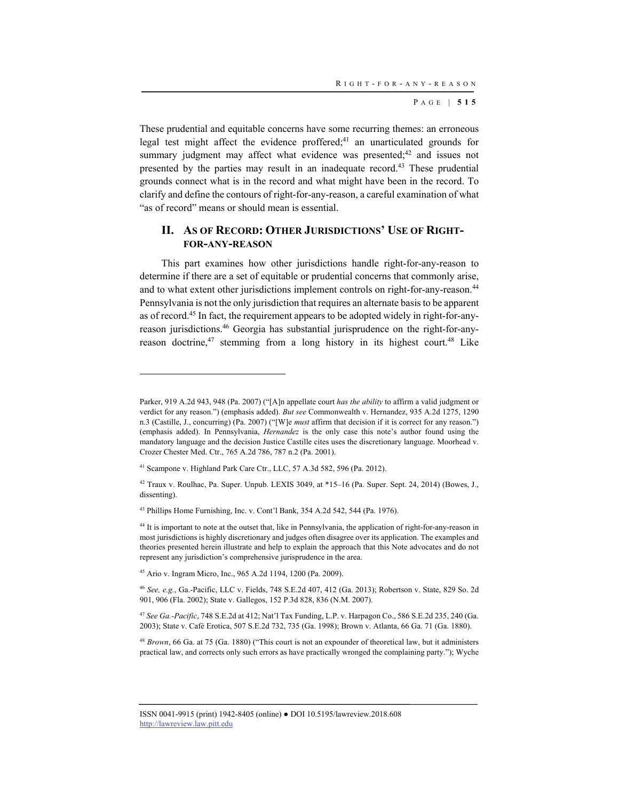These prudential and equitable concerns have some recurring themes: an erroneous legal test might affect the evidence proffered;<sup>41</sup> an unarticulated grounds for summary judgment may affect what evidence was presented;<sup>42</sup> and issues not presented by the parties may result in an inadequate record.<sup>43</sup> These prudential grounds connect what is in the record and what might have been in the record. To clarify and define the contours of right-for-any-reason, a careful examination of what "as of record" means or should mean is essential.

### **II. AS OF RECORD: OTHER JURISDICTIONS' USE OF RIGHT-FOR-ANY-REASON**

This part examines how other jurisdictions handle right-for-any-reason to determine if there are a set of equitable or prudential concerns that commonly arise, and to what extent other jurisdictions implement controls on right-for-any-reason.<sup>44</sup> Pennsylvania is not the only jurisdiction that requires an alternate basis to be apparent as of record.45 In fact, the requirement appears to be adopted widely in right-for-anyreason jurisdictions.46 Georgia has substantial jurisprudence on the right-for-anyreason doctrine,<sup>47</sup> stemming from a long history in its highest court.<sup>48</sup> Like

45 Ario v. Ingram Micro, Inc., 965 A.2d 1194, 1200 (Pa. 2009).

l

<sup>46</sup> *See, e.g.*, Ga.-Pacific, LLC v. Fields, 748 S.E.2d 407, 412 (Ga. 2013); Robertson v. State, 829 So. 2d 901, 906 (Fla. 2002); State v. Gallegos, 152 P.3d 828, 836 (N.M. 2007).

<sup>47</sup> *See Ga.-Pacific*, 748 S.E.2d at 412; Nat'l Tax Funding, L.P. v. Harpagon Co., 586 S.E.2d 235, 240 (Ga. 2003); State v. Café Erotica, 507 S.E.2d 732, 735 (Ga. 1998); Brown v. Atlanta, 66 Ga. 71 (Ga. 1880).

<sup>48</sup> *Brown*, 66 Ga. at 75 (Ga. 1880) ("This court is not an expounder of theoretical law, but it administers practical law, and corrects only such errors as have practically wronged the complaining party."); Wyche

Parker, 919 A.2d 943, 948 (Pa. 2007) ("[A]n appellate court *has the ability* to affirm a valid judgment or verdict for any reason.") (emphasis added). *But see* Commonwealth v. Hernandez, 935 A.2d 1275, 1290 n.3 (Castille, J., concurring) (Pa. 2007) ("[W]e *must* affirm that decision if it is correct for any reason.") (emphasis added). In Pennsylvania, *Hernandez* is the only case this note's author found using the mandatory language and the decision Justice Castille cites uses the discretionary language. Moorhead v. Crozer Chester Med. Ctr., 765 A.2d 786, 787 n.2 (Pa. 2001).

<sup>41</sup> Scampone v. Highland Park Care Ctr., LLC, 57 A.3d 582, 596 (Pa. 2012).

 $42$  Traux v. Roulhac, Pa. Super. Unpub. LEXIS 3049, at  $*15-16$  (Pa. Super. Sept. 24, 2014) (Bowes, J., dissenting).

<sup>43</sup> Phillips Home Furnishing, Inc. v. Cont'l Bank, 354 A.2d 542, 544 (Pa. 1976).

<sup>&</sup>lt;sup>44</sup> It is important to note at the outset that, like in Pennsylvania, the application of right-for-any-reason in most jurisdictions is highly discretionary and judges often disagree over its application. The examples and theories presented herein illustrate and help to explain the approach that this Note advocates and do not represent any jurisdiction's comprehensive jurisprudence in the area.

ISSN 0041-9915 (print) 1942-8405 (online) ● DOI 10.5195/lawreview.2018.608 http://lawreview.law.pitt.edu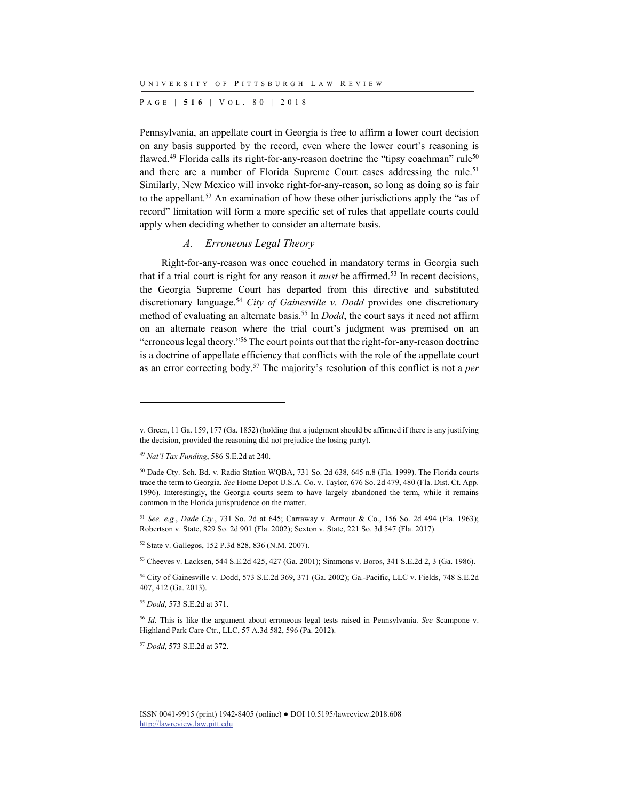P AGE | **516** | V O L . 8 0 | 2018

Pennsylvania, an appellate court in Georgia is free to affirm a lower court decision on any basis supported by the record, even where the lower court's reasoning is flawed.<sup>49</sup> Florida calls its right-for-any-reason doctrine the "tipsy coachman" rule<sup>50</sup> and there are a number of Florida Supreme Court cases addressing the rule.<sup>51</sup> Similarly, New Mexico will invoke right-for-any-reason, so long as doing so is fair to the appellant.<sup>52</sup> An examination of how these other jurisdictions apply the "as of record" limitation will form a more specific set of rules that appellate courts could apply when deciding whether to consider an alternate basis.

#### *A. Erroneous Legal Theory*

Right-for-any-reason was once couched in mandatory terms in Georgia such that if a trial court is right for any reason it *must* be affirmed.53 In recent decisions, the Georgia Supreme Court has departed from this directive and substituted discretionary language.<sup>54</sup> *City of Gainesville v. Dodd* provides one discretionary method of evaluating an alternate basis.<sup>55</sup> In *Dodd*, the court says it need not affirm on an alternate reason where the trial court's judgment was premised on an "erroneous legal theory."56 The court points out that the right-for-any-reason doctrine is a doctrine of appellate efficiency that conflicts with the role of the appellate court as an error correcting body.57 The majority's resolution of this conflict is not a *per* 

l

<sup>57</sup> *Dodd*, 573 S.E.2d at 372.

v. Green, 11 Ga. 159, 177 (Ga. 1852) (holding that a judgment should be affirmed if there is any justifying the decision, provided the reasoning did not prejudice the losing party).

<sup>49</sup> *Nat'l Tax Funding*, 586 S.E.2d at 240.

<sup>50</sup> Dade Cty. Sch. Bd. v. Radio Station WQBA, 731 So. 2d 638, 645 n.8 (Fla. 1999). The Florida courts trace the term to Georgia. *See* Home Depot U.S.A. Co. v. Taylor, 676 So. 2d 479, 480 (Fla. Dist. Ct. App. 1996). Interestingly, the Georgia courts seem to have largely abandoned the term, while it remains common in the Florida jurisprudence on the matter.

<sup>51</sup> *See, e.g.*, *Dade Cty.*, 731 So. 2d at 645; Carraway v. Armour & Co., 156 So. 2d 494 (Fla. 1963); Robertson v. State, 829 So. 2d 901 (Fla. 2002); Sexton v. State, 221 So. 3d 547 (Fla. 2017).

<sup>52</sup> State v. Gallegos, 152 P.3d 828, 836 (N.M. 2007).

<sup>53</sup> Cheeves v. Lacksen, 544 S.E.2d 425, 427 (Ga. 2001); Simmons v. Boros, 341 S.E.2d 2, 3 (Ga. 1986).

<sup>54</sup> City of Gainesville v. Dodd, 573 S.E.2d 369, 371 (Ga. 2002); Ga.-Pacific, LLC v. Fields, 748 S.E.2d 407, 412 (Ga. 2013).

<sup>55</sup> *Dodd*, 573 S.E.2d at 371.

<sup>56</sup> *Id.* This is like the argument about erroneous legal tests raised in Pennsylvania. *See* Scampone v. Highland Park Care Ctr., LLC, 57 A.3d 582, 596 (Pa. 2012).

ISSN 0041-9915 (print) 1942-8405 (online) ● DOI 10.5195/lawreview.2018.608 http://lawreview.law.pitt.edu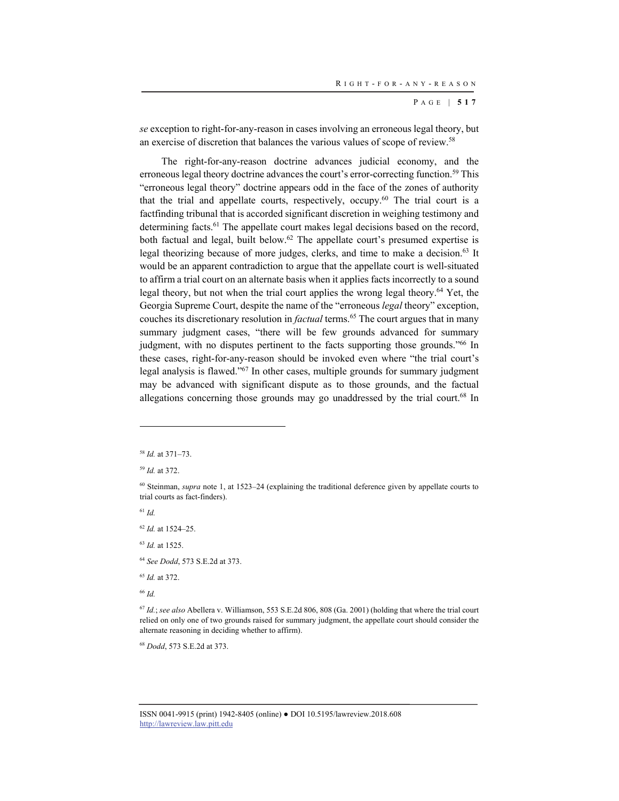*se* exception to right-for-any-reason in cases involving an erroneous legal theory, but an exercise of discretion that balances the various values of scope of review.58

The right-for-any-reason doctrine advances judicial economy, and the erroneous legal theory doctrine advances the court's error-correcting function.<sup>59</sup> This "erroneous legal theory" doctrine appears odd in the face of the zones of authority that the trial and appellate courts, respectively, occupy.<sup>60</sup> The trial court is a factfinding tribunal that is accorded significant discretion in weighing testimony and determining facts.<sup>61</sup> The appellate court makes legal decisions based on the record, both factual and legal, built below.<sup>62</sup> The appellate court's presumed expertise is legal theorizing because of more judges, clerks, and time to make a decision.<sup>63</sup> It would be an apparent contradiction to argue that the appellate court is well-situated to affirm a trial court on an alternate basis when it applies facts incorrectly to a sound legal theory, but not when the trial court applies the wrong legal theory.64 Yet, the Georgia Supreme Court, despite the name of the "erroneous *legal* theory" exception, couches its discretionary resolution in *factual* terms.<sup>65</sup> The court argues that in many summary judgment cases, "there will be few grounds advanced for summary judgment, with no disputes pertinent to the facts supporting those grounds."66 In these cases, right-for-any-reason should be invoked even where "the trial court's legal analysis is flawed."67 In other cases, multiple grounds for summary judgment may be advanced with significant dispute as to those grounds, and the factual allegations concerning those grounds may go unaddressed by the trial court.<sup>68</sup> In

<sup>61</sup> *Id.*

l

<sup>62</sup> *Id.* at 1524–25.

<sup>63</sup> *Id.* at 1525.

<sup>64</sup> *See Dodd*, 573 S.E.2d at 373.

<sup>65</sup> *Id.* at 372.

<sup>66</sup> *Id.*

<sup>67</sup> *Id.*; *see also* Abellera v. Williamson, 553 S.E.2d 806, 808 (Ga. 2001) (holding that where the trial court relied on only one of two grounds raised for summary judgment, the appellate court should consider the alternate reasoning in deciding whether to affirm).

<sup>68</sup> *Dodd*, 573 S.E.2d at 373.

<sup>58</sup> *Id.* at 371–73.

<sup>59</sup> *Id.* at 372.

<sup>60</sup> Steinman, *supra* note 1, at 1523–24 (explaining the traditional deference given by appellate courts to trial courts as fact-finders).

ISSN 0041-9915 (print) 1942-8405 (online) ● DOI 10.5195/lawreview.2018.608 http://lawreview.law.pitt.edu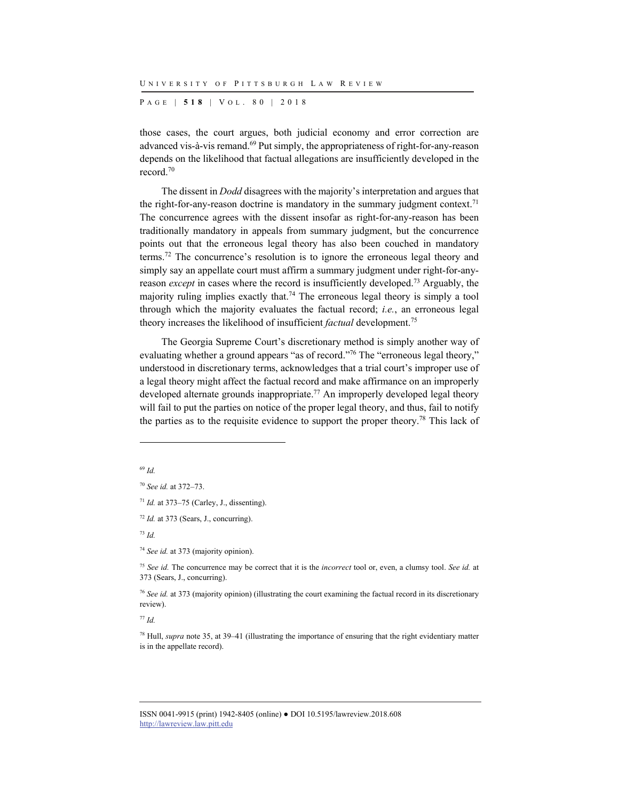P AGE | **518** | V O L . 8 0 | 2018

those cases, the court argues, both judicial economy and error correction are advanced vis-à-vis remand.<sup>69</sup> Put simply, the appropriateness of right-for-any-reason depends on the likelihood that factual allegations are insufficiently developed in the record.70

The dissent in *Dodd* disagrees with the majority's interpretation and argues that the right-for-any-reason doctrine is mandatory in the summary judgment context.<sup>71</sup> The concurrence agrees with the dissent insofar as right-for-any-reason has been traditionally mandatory in appeals from summary judgment, but the concurrence points out that the erroneous legal theory has also been couched in mandatory terms.72 The concurrence's resolution is to ignore the erroneous legal theory and simply say an appellate court must affirm a summary judgment under right-for-anyreason *except* in cases where the record is insufficiently developed.73 Arguably, the majority ruling implies exactly that.<sup>74</sup> The erroneous legal theory is simply a tool through which the majority evaluates the factual record; *i.e.*, an erroneous legal theory increases the likelihood of insufficient *factual* development.75

The Georgia Supreme Court's discretionary method is simply another way of evaluating whether a ground appears "as of record."76 The "erroneous legal theory," understood in discretionary terms, acknowledges that a trial court's improper use of a legal theory might affect the factual record and make affirmance on an improperly developed alternate grounds inappropriate.<sup>77</sup> An improperly developed legal theory will fail to put the parties on notice of the proper legal theory, and thus, fail to notify the parties as to the requisite evidence to support the proper theory.78 This lack of

l

<sup>73</sup> *Id.*

<sup>74</sup> *See id.* at 373 (majority opinion).

<sup>75</sup> *See id.* The concurrence may be correct that it is the *incorrect* tool or, even, a clumsy tool. *See id.* at 373 (Sears, J., concurring).

<sup>76</sup> *See id.* at 373 (majority opinion) (illustrating the court examining the factual record in its discretionary review).

<sup>77</sup> *Id.*

78 Hull, *supra* note 35, at 39–41 (illustrating the importance of ensuring that the right evidentiary matter is in the appellate record).

<sup>69</sup> *Id.*

<sup>70</sup> *See id.* at 372–73.

<sup>71</sup> *Id.* at 373–75 (Carley, J., dissenting).

<sup>72</sup> *Id.* at 373 (Sears, J., concurring).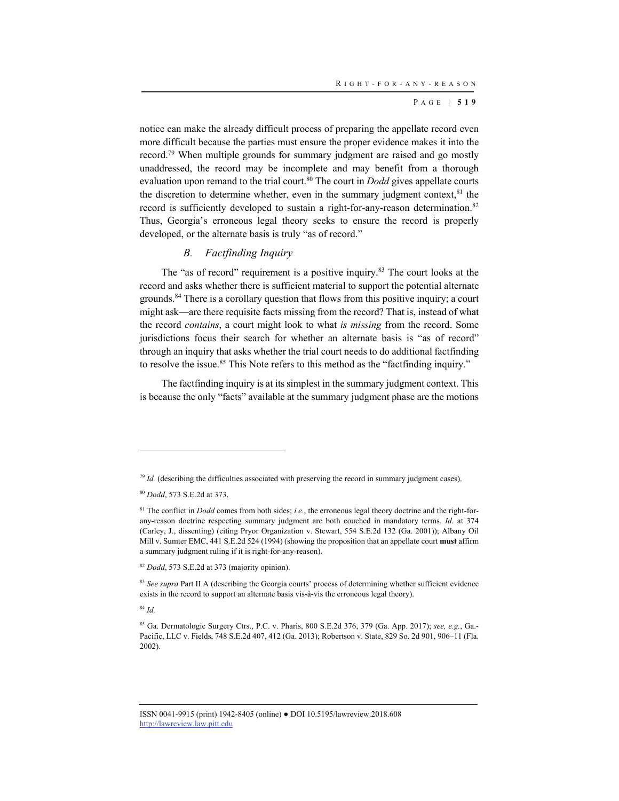notice can make the already difficult process of preparing the appellate record even more difficult because the parties must ensure the proper evidence makes it into the record.79 When multiple grounds for summary judgment are raised and go mostly unaddressed, the record may be incomplete and may benefit from a thorough evaluation upon remand to the trial court.<sup>80</sup> The court in *Dodd* gives appellate courts the discretion to determine whether, even in the summary judgment context, $81$  the record is sufficiently developed to sustain a right-for-any-reason determination.<sup>82</sup> Thus, Georgia's erroneous legal theory seeks to ensure the record is properly developed, or the alternate basis is truly "as of record."

#### *B. Factfinding Inquiry*

The "as of record" requirement is a positive inquiry.<sup>83</sup> The court looks at the record and asks whether there is sufficient material to support the potential alternate grounds.<sup>84</sup> There is a corollary question that flows from this positive inquiry; a court might ask—are there requisite facts missing from the record? That is, instead of what the record *contains*, a court might look to what *is missing* from the record. Some jurisdictions focus their search for whether an alternate basis is "as of record" through an inquiry that asks whether the trial court needs to do additional factfinding to resolve the issue.<sup>85</sup> This Note refers to this method as the "factfinding inquiry."

The factfinding inquiry is at its simplest in the summary judgment context. This is because the only "facts" available at the summary judgment phase are the motions

<sup>84</sup> *Id.*

 $79$  *Id.* (describing the difficulties associated with preserving the record in summary judgment cases).

<sup>80</sup> *Dodd*, 573 S.E.2d at 373.

<sup>81</sup> The conflict in *Dodd* comes from both sides; *i.e.*, the erroneous legal theory doctrine and the right-forany-reason doctrine respecting summary judgment are both couched in mandatory terms. *Id.* at 374 (Carley, J., dissenting) (citing Pryor Organization v. Stewart, 554 S.E.2d 132 (Ga. 2001)); Albany Oil Mill v. Sumter EMC, 441 S.E.2d 524 (1994) (showing the proposition that an appellate court **must** affirm a summary judgment ruling if it is right-for-any-reason).

<sup>82</sup> *Dodd*, 573 S.E.2d at 373 (majority opinion).

<sup>83</sup> *See supra* Part II.A (describing the Georgia courts' process of determining whether sufficient evidence exists in the record to support an alternate basis vis-à-vis the erroneous legal theory).

<sup>85</sup> Ga. Dermatologic Surgery Ctrs., P.C. v. Pharis, 800 S.E.2d 376, 379 (Ga. App. 2017); *see, e.g.*, Ga.- Pacific, LLC v. Fields, 748 S.E.2d 407, 412 (Ga. 2013); Robertson v. State, 829 So. 2d 901, 906–11 (Fla. 2002).

ISSN 0041-9915 (print) 1942-8405 (online) ● DOI 10.5195/lawreview.2018.608 http://lawreview.law.pitt.edu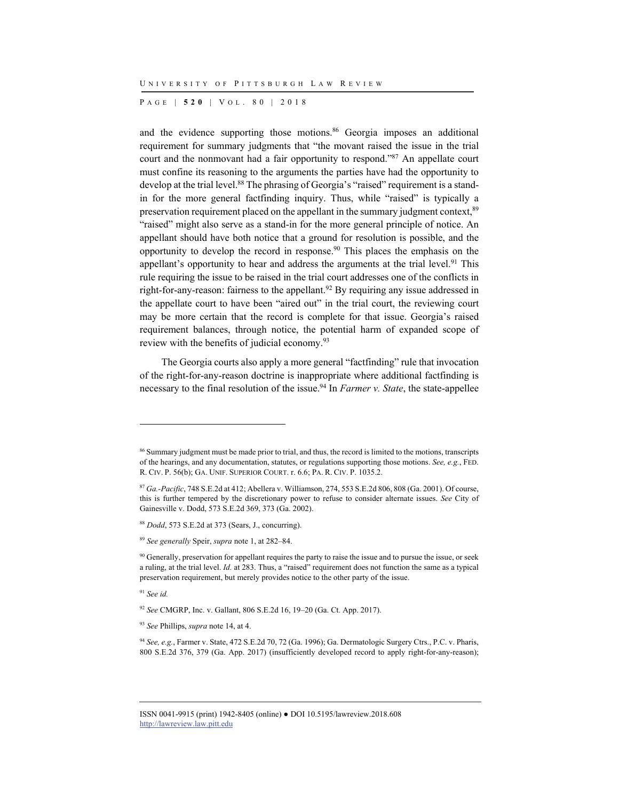P AGE | **520** | V O L . 8 0 | 2018

and the evidence supporting those motions.<sup>86</sup> Georgia imposes an additional requirement for summary judgments that "the movant raised the issue in the trial court and the nonmovant had a fair opportunity to respond."87 An appellate court must confine its reasoning to the arguments the parties have had the opportunity to develop at the trial level.<sup>88</sup> The phrasing of Georgia's "raised" requirement is a standin for the more general factfinding inquiry. Thus, while "raised" is typically a preservation requirement placed on the appellant in the summary judgment context, <sup>89</sup> "raised" might also serve as a stand-in for the more general principle of notice. An appellant should have both notice that a ground for resolution is possible, and the opportunity to develop the record in response.<sup>90</sup> This places the emphasis on the appellant's opportunity to hear and address the arguments at the trial level.<sup>91</sup> This rule requiring the issue to be raised in the trial court addresses one of the conflicts in right-for-any-reason: fairness to the appellant.<sup>92</sup> By requiring any issue addressed in the appellate court to have been "aired out" in the trial court, the reviewing court may be more certain that the record is complete for that issue. Georgia's raised requirement balances, through notice, the potential harm of expanded scope of review with the benefits of judicial economy.93

The Georgia courts also apply a more general "factfinding" rule that invocation of the right-for-any-reason doctrine is inappropriate where additional factfinding is necessary to the final resolution of the issue.94 In *Farmer v. State*, the state-appellee

<sup>91</sup> *See id.*

<sup>&</sup>lt;sup>86</sup> Summary judgment must be made prior to trial, and thus, the record is limited to the motions, transcripts of the hearings, and any documentation, statutes, or regulations supporting those motions. *See, e.g.*, FED. R. CIV. P. 56(b); GA. UNIF. SUPERIOR COURT. r. 6.6; PA. R. CIV. P. 1035.2.

<sup>87</sup> *Ga.-Pacific*, 748 S.E.2d at 412; Abellera v. Williamson, 274, 553 S.E.2d 806, 808 (Ga. 2001). Of course, this is further tempered by the discretionary power to refuse to consider alternate issues. *See* City of Gainesville v. Dodd, 573 S.E.2d 369, 373 (Ga. 2002).

<sup>88</sup> *Dodd*, 573 S.E.2d at 373 (Sears, J., concurring).

<sup>89</sup> *See generally* Speir, *supra* note 1, at 282–84.

<sup>&</sup>lt;sup>90</sup> Generally, preservation for appellant requires the party to raise the issue and to pursue the issue, or seek a ruling, at the trial level. *Id.* at 283. Thus, a "raised" requirement does not function the same as a typical preservation requirement, but merely provides notice to the other party of the issue.

<sup>92</sup> *See* CMGRP, Inc. v. Gallant, 806 S.E.2d 16, 19–20 (Ga. Ct. App. 2017).

<sup>93</sup> *See* Phillips, *supra* note 14, at 4.

<sup>94</sup> *See, e.g.*, Farmer v. State, 472 S.E.2d 70, 72 (Ga. 1996); Ga. Dermatologic Surgery Ctrs., P.C. v. Pharis, 800 S.E.2d 376, 379 (Ga. App. 2017) (insufficiently developed record to apply right-for-any-reason);

ISSN 0041-9915 (print) 1942-8405 (online) ● DOI 10.5195/lawreview.2018.608 http://lawreview.law.pitt.edu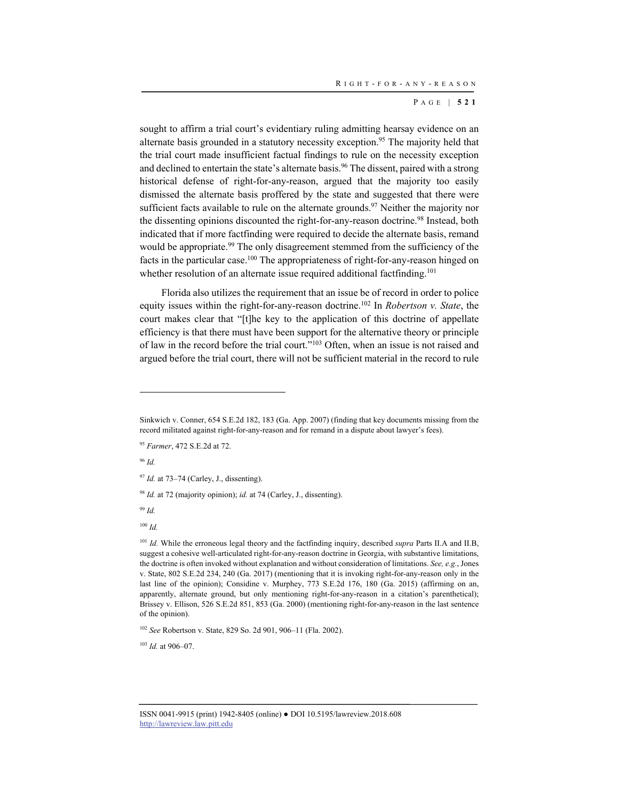sought to affirm a trial court's evidentiary ruling admitting hearsay evidence on an alternate basis grounded in a statutory necessity exception.<sup>95</sup> The majority held that the trial court made insufficient factual findings to rule on the necessity exception and declined to entertain the state's alternate basis.<sup>96</sup> The dissent, paired with a strong historical defense of right-for-any-reason, argued that the majority too easily dismissed the alternate basis proffered by the state and suggested that there were sufficient facts available to rule on the alternate grounds.<sup>97</sup> Neither the majority nor the dissenting opinions discounted the right-for-any-reason doctrine.<sup>98</sup> Instead, both indicated that if more factfinding were required to decide the alternate basis, remand would be appropriate.<sup>99</sup> The only disagreement stemmed from the sufficiency of the facts in the particular case.<sup>100</sup> The appropriateness of right-for-any-reason hinged on whether resolution of an alternate issue required additional factfinding.<sup>101</sup>

Florida also utilizes the requirement that an issue be of record in order to police equity issues within the right-for-any-reason doctrine.102 In *Robertson v. State*, the court makes clear that "[t]he key to the application of this doctrine of appellate efficiency is that there must have been support for the alternative theory or principle of law in the record before the trial court."103 Often, when an issue is not raised and argued before the trial court, there will not be sufficient material in the record to rule

<sup>96</sup> *Id.*

l

<sup>98</sup> *Id.* at 72 (majority opinion); *id.* at 74 (Carley, J., dissenting).

<sup>99</sup> *Id.*

<sup>100</sup> *Id.*

<sup>101</sup> *Id.* While the erroneous legal theory and the factfinding inquiry, described *supra* Parts II.A and II.B, suggest a cohesive well-articulated right-for-any-reason doctrine in Georgia, with substantive limitations, the doctrine is often invoked without explanation and without consideration of limitations. *See, e.g.*, Jones v. State, 802 S.E.2d 234, 240 (Ga. 2017) (mentioning that it is invoking right-for-any-reason only in the last line of the opinion); Considine v. Murphey, 773 S.E.2d 176, 180 (Ga. 2015) (affirming on an, apparently, alternate ground, but only mentioning right-for-any-reason in a citation's parenthetical); Brissey v. Ellison, 526 S.E.2d 851, 853 (Ga. 2000) (mentioning right-for-any-reason in the last sentence of the opinion).

<sup>102</sup> *See* Robertson v. State, 829 So. 2d 901, 906–11 (Fla. 2002).

<sup>103</sup> *Id.* at 906–07.

Sinkwich v. Conner, 654 S.E.2d 182, 183 (Ga. App. 2007) (finding that key documents missing from the record militated against right-for-any-reason and for remand in a dispute about lawyer's fees).

<sup>95</sup> *Farmer*, 472 S.E.2d at 72.

<sup>97</sup> *Id.* at 73–74 (Carley, J., dissenting).

ISSN 0041-9915 (print) 1942-8405 (online) ● DOI 10.5195/lawreview.2018.608 http://lawreview.law.pitt.edu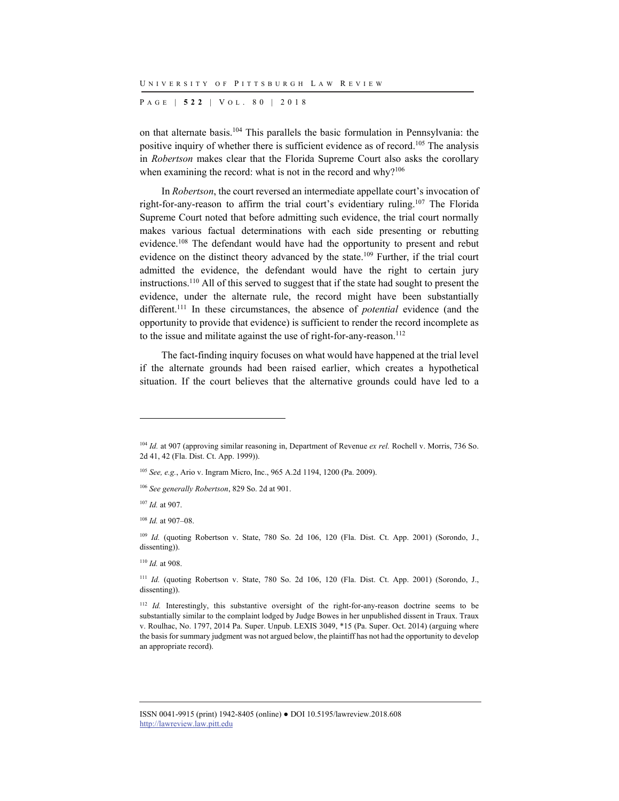P AGE | **522** | V O L . 8 0 | 2018

on that alternate basis.104 This parallels the basic formulation in Pennsylvania: the positive inquiry of whether there is sufficient evidence as of record.<sup>105</sup> The analysis in *Robertson* makes clear that the Florida Supreme Court also asks the corollary when examining the record: what is not in the record and why? $106$ 

In *Robertson*, the court reversed an intermediate appellate court's invocation of right-for-any-reason to affirm the trial court's evidentiary ruling.<sup>107</sup> The Florida Supreme Court noted that before admitting such evidence, the trial court normally makes various factual determinations with each side presenting or rebutting evidence.108 The defendant would have had the opportunity to present and rebut evidence on the distinct theory advanced by the state.109 Further, if the trial court admitted the evidence, the defendant would have the right to certain jury instructions.110 All of this served to suggest that if the state had sought to present the evidence, under the alternate rule, the record might have been substantially different.111 In these circumstances, the absence of *potential* evidence (and the opportunity to provide that evidence) is sufficient to render the record incomplete as to the issue and militate against the use of right-for-any-reason.<sup>112</sup>

The fact-finding inquiry focuses on what would have happened at the trial level if the alternate grounds had been raised earlier, which creates a hypothetical situation. If the court believes that the alternative grounds could have led to a

<sup>105</sup> *See, e.g.*, Ario v. Ingram Micro, Inc., 965 A.2d 1194, 1200 (Pa. 2009).

<sup>107</sup> *Id.* at 907.

l

<sup>108</sup> *Id.* at 907–08.

<sup>109</sup> *Id.* (quoting Robertson v. State, 780 So. 2d 106, 120 (Fla. Dist. Ct. App. 2001) (Sorondo, J., dissenting)).

<sup>110</sup> *Id.* at 908.

<sup>111</sup> *Id.* (quoting Robertson v. State, 780 So. 2d 106, 120 (Fla. Dist. Ct. App. 2001) (Sorondo, J., dissenting)).

<sup>112</sup> *Id.* Interestingly, this substantive oversight of the right-for-any-reason doctrine seems to be substantially similar to the complaint lodged by Judge Bowes in her unpublished dissent in Traux. Traux v. Roulhac, No. 1797, 2014 Pa. Super. Unpub. LEXIS 3049, \*15 (Pa. Super. Oct. 2014) (arguing where the basis for summary judgment was not argued below, the plaintiff has not had the opportunity to develop an appropriate record).

<sup>104</sup> *Id.* at 907 (approving similar reasoning in, Department of Revenue *ex rel.* Rochell v. Morris, 736 So. 2d 41, 42 (Fla. Dist. Ct. App. 1999)).

<sup>106</sup> *See generally Robertson*, 829 So. 2d at 901.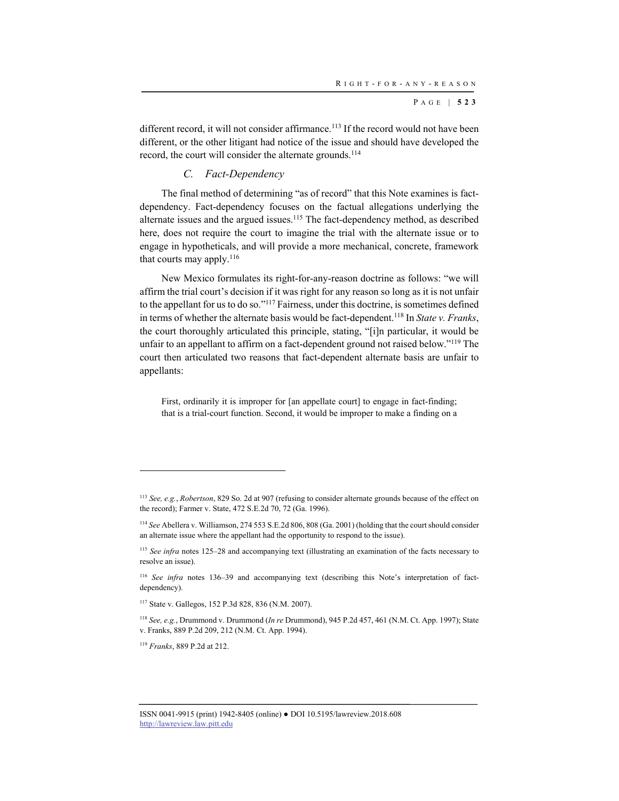different record, it will not consider affirmance.<sup>113</sup> If the record would not have been different, or the other litigant had notice of the issue and should have developed the record, the court will consider the alternate grounds.<sup>114</sup>

#### *C. Fact-Dependency*

The final method of determining "as of record" that this Note examines is factdependency. Fact-dependency focuses on the factual allegations underlying the alternate issues and the argued issues.<sup>115</sup> The fact-dependency method, as described here, does not require the court to imagine the trial with the alternate issue or to engage in hypotheticals, and will provide a more mechanical, concrete, framework that courts may apply. $116$ 

New Mexico formulates its right-for-any-reason doctrine as follows: "we will affirm the trial court's decision if it was right for any reason so long as it is not unfair to the appellant for us to do so."117 Fairness, under this doctrine, is sometimes defined in terms of whether the alternate basis would be fact-dependent. 118 In *State v. Franks*, the court thoroughly articulated this principle, stating, "[i]n particular, it would be unfair to an appellant to affirm on a fact-dependent ground not raised below."<sup>119</sup> The court then articulated two reasons that fact-dependent alternate basis are unfair to appellants:

First, ordinarily it is improper for [an appellate court] to engage in fact-finding; that is a trial-court function. Second, it would be improper to make a finding on a

<sup>113</sup> *See, e.g.*, *Robertson*, 829 So. 2d at 907 (refusing to consider alternate grounds because of the effect on the record); Farmer v. State, 472 S.E.2d 70, 72 (Ga. 1996).

<sup>114</sup> *See* Abellera v. Williamson, 274 553 S.E.2d 806, 808 (Ga. 2001) (holding that the court should consider an alternate issue where the appellant had the opportunity to respond to the issue).

<sup>115</sup> *See infra* notes 125–28 and accompanying text (illustrating an examination of the facts necessary to resolve an issue).

<sup>116</sup> *See infra* notes 136–39 and accompanying text (describing this Note's interpretation of factdependency).

<sup>117</sup> State v. Gallegos, 152 P.3d 828, 836 (N.M. 2007).

<sup>118</sup> *See, e.g.*, Drummond v. Drummond (*In re* Drummond), 945 P.2d 457, 461 (N.M. Ct. App. 1997); State v. Franks, 889 P.2d 209, 212 (N.M. Ct. App. 1994).

<sup>119</sup> *Franks*, 889 P.2d at 212.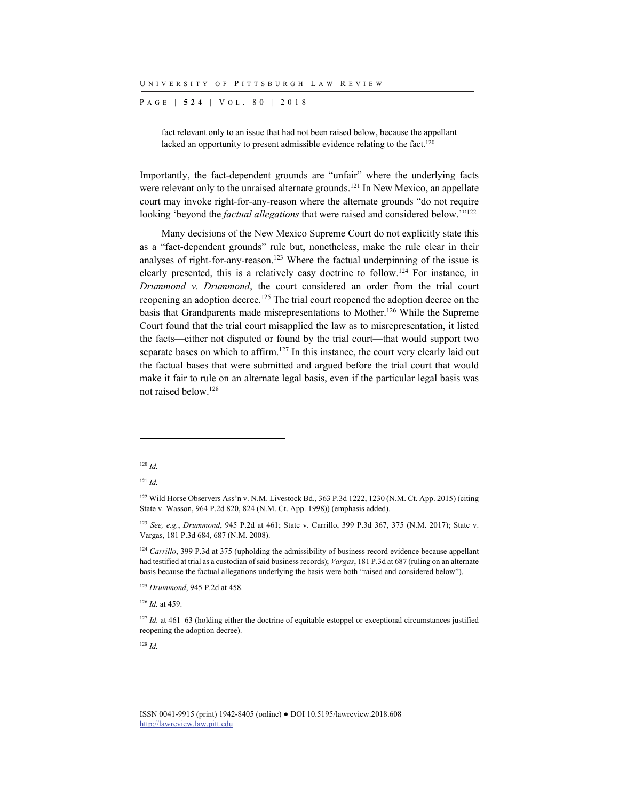P AGE | **524** | V O L . 8 0 | 2018

fact relevant only to an issue that had not been raised below, because the appellant lacked an opportunity to present admissible evidence relating to the fact.<sup>120</sup>

Importantly, the fact-dependent grounds are "unfair" where the underlying facts were relevant only to the unraised alternate grounds.<sup>121</sup> In New Mexico, an appellate court may invoke right-for-any-reason where the alternate grounds "do not require looking 'beyond the *factual allegations* that were raised and considered below.'"<sup>122</sup>

Many decisions of the New Mexico Supreme Court do not explicitly state this as a "fact-dependent grounds" rule but, nonetheless, make the rule clear in their analyses of right-for-any-reason.<sup>123</sup> Where the factual underpinning of the issue is clearly presented, this is a relatively easy doctrine to follow. 124 For instance, in *Drummond v. Drummond*, the court considered an order from the trial court reopening an adoption decree.<sup>125</sup> The trial court reopened the adoption decree on the basis that Grandparents made misrepresentations to Mother.126 While the Supreme Court found that the trial court misapplied the law as to misrepresentation, it listed the facts—either not disputed or found by the trial court—that would support two separate bases on which to affirm.<sup>127</sup> In this instance, the court very clearly laid out the factual bases that were submitted and argued before the trial court that would make it fair to rule on an alternate legal basis, even if the particular legal basis was not raised below.128

l

<sup>126</sup> *Id.* at 459.

<sup>120</sup> *Id.*

<sup>121</sup> *Id.*

<sup>122</sup> Wild Horse Observers Ass'n v. N.M. Livestock Bd., 363 P.3d 1222, 1230 (N.M. Ct. App. 2015) (citing State v. Wasson, 964 P.2d 820, 824 (N.M. Ct. App. 1998)) (emphasis added).

<sup>123</sup> *See, e.g.*, *Drummond*, 945 P.2d at 461; State v. Carrillo, 399 P.3d 367, 375 (N.M. 2017); State v. Vargas, 181 P.3d 684, 687 (N.M. 2008).

<sup>&</sup>lt;sup>124</sup> *Carrillo*, 399 P.3d at 375 (upholding the admissibility of business record evidence because appellant had testified at trial as a custodian of said business records); *Vargas*, 181 P.3d at 687 (ruling on an alternate basis because the factual allegations underlying the basis were both "raised and considered below").

<sup>125</sup> *Drummond*, 945 P.2d at 458.

<sup>&</sup>lt;sup>127</sup> *Id.* at 461–63 (holding either the doctrine of equitable estoppel or exceptional circumstances justified reopening the adoption decree).

ISSN 0041-9915 (print) 1942-8405 (online) ● DOI 10.5195/lawreview.2018.608 http://lawreview.law.pitt.edu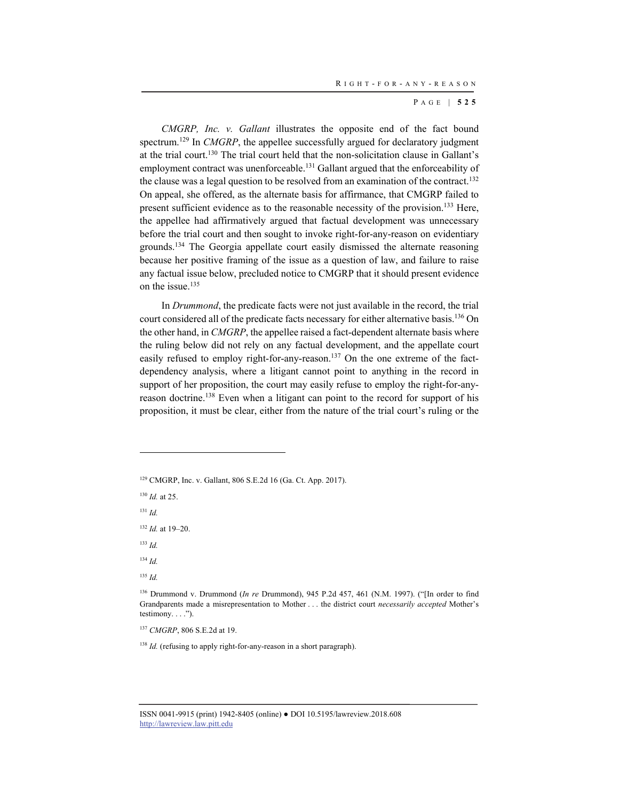*CMGRP, Inc. v. Gallant* illustrates the opposite end of the fact bound spectrum.<sup>129</sup> In *CMGRP*, the appellee successfully argued for declaratory judgment at the trial court.130 The trial court held that the non-solicitation clause in Gallant's employment contract was unenforceable.131 Gallant argued that the enforceability of the clause was a legal question to be resolved from an examination of the contract.<sup>132</sup> On appeal, she offered, as the alternate basis for affirmance, that CMGRP failed to present sufficient evidence as to the reasonable necessity of the provision.133 Here, the appellee had affirmatively argued that factual development was unnecessary before the trial court and then sought to invoke right-for-any-reason on evidentiary grounds.134 The Georgia appellate court easily dismissed the alternate reasoning because her positive framing of the issue as a question of law, and failure to raise any factual issue below, precluded notice to CMGRP that it should present evidence on the issue.<sup>135</sup>

In *Drummond*, the predicate facts were not just available in the record, the trial court considered all of the predicate facts necessary for either alternative basis.<sup>136</sup> On the other hand, in *CMGRP*, the appellee raised a fact-dependent alternate basis where the ruling below did not rely on any factual development, and the appellate court easily refused to employ right-for-any-reason.<sup>137</sup> On the one extreme of the factdependency analysis, where a litigant cannot point to anything in the record in support of her proposition, the court may easily refuse to employ the right-for-anyreason doctrine.138 Even when a litigant can point to the record for support of his proposition, it must be clear, either from the nature of the trial court's ruling or the

129 CMGRP, Inc. v. Gallant, 806 S.E.2d 16 (Ga. Ct. App. 2017).

<sup>130</sup> *Id.* at 25.

<sup>131</sup> *Id.*

l

<sup>132</sup> *Id.* at 19–20.

<sup>133</sup> *Id.*

<sup>134</sup> *Id.*

<sup>135</sup> *Id.*

136 Drummond v. Drummond (*In re* Drummond), 945 P.2d 457, 461 (N.M. 1997). ("[In order to find Grandparents made a misrepresentation to Mother . . . the district court *necessarily accepted* Mother's testimony.  $\dots$ ").

<sup>137</sup> *CMGRP*, 806 S.E.2d at 19.

<sup>138</sup> *Id.* (refusing to apply right-for-any-reason in a short paragraph).

ISSN 0041-9915 (print) 1942-8405 (online) ● DOI 10.5195/lawreview.2018.608 http://lawreview.law.pitt.edu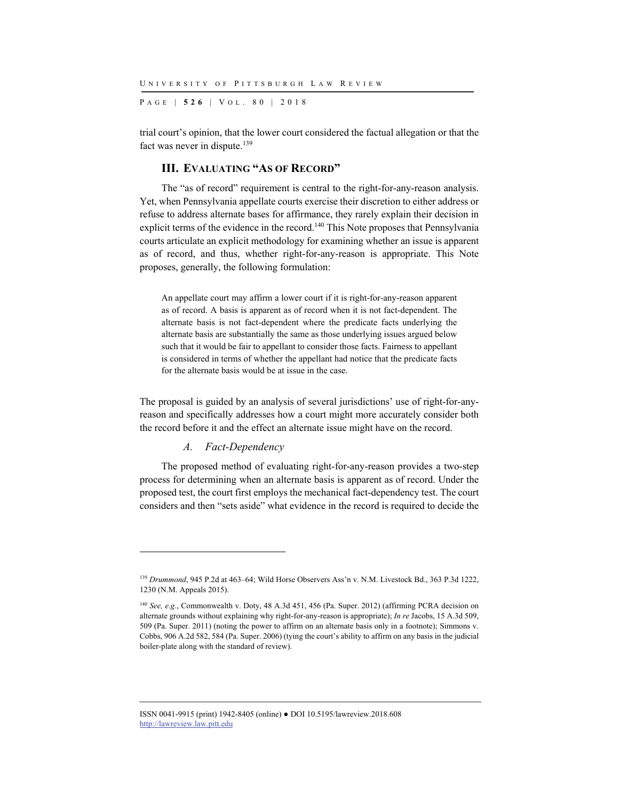P AGE | **526** | V O L . 8 0 | 2018

trial court's opinion, that the lower court considered the factual allegation or that the fact was never in dispute.<sup>139</sup>

#### **III. EVALUATING "AS OF RECORD"**

The "as of record" requirement is central to the right-for-any-reason analysis. Yet, when Pennsylvania appellate courts exercise their discretion to either address or refuse to address alternate bases for affirmance, they rarely explain their decision in explicit terms of the evidence in the record.140 This Note proposes that Pennsylvania courts articulate an explicit methodology for examining whether an issue is apparent as of record, and thus, whether right-for-any-reason is appropriate. This Note proposes, generally, the following formulation:

An appellate court may affirm a lower court if it is right-for-any-reason apparent as of record. A basis is apparent as of record when it is not fact-dependent. The alternate basis is not fact-dependent where the predicate facts underlying the alternate basis are substantially the same as those underlying issues argued below such that it would be fair to appellant to consider those facts. Fairness to appellant is considered in terms of whether the appellant had notice that the predicate facts for the alternate basis would be at issue in the case.

The proposal is guided by an analysis of several jurisdictions' use of right-for-anyreason and specifically addresses how a court might more accurately consider both the record before it and the effect an alternate issue might have on the record.

#### *A. Fact-Dependency*

l

The proposed method of evaluating right-for-any-reason provides a two-step process for determining when an alternate basis is apparent as of record. Under the proposed test, the court first employs the mechanical fact-dependency test. The court considers and then "sets aside" what evidence in the record is required to decide the

<sup>139</sup> *Drummond*, 945 P.2d at 463–64; Wild Horse Observers Ass'n v. N.M. Livestock Bd., 363 P.3d 1222, 1230 (N.M. Appeals 2015).

<sup>140</sup> *See, e.g.*, Commonwealth v. Doty, 48 A.3d 451, 456 (Pa. Super. 2012) (affirming PCRA decision on alternate grounds without explaining why right-for-any-reason is appropriate); *In re* Jacobs, 15 A.3d 509, 509 (Pa. Super. 2011) (noting the power to affirm on an alternate basis only in a footnote); Simmons v. Cobbs, 906 A.2d 582, 584 (Pa. Super. 2006) (tying the court's ability to affirm on any basis in the judicial boiler-plate along with the standard of review).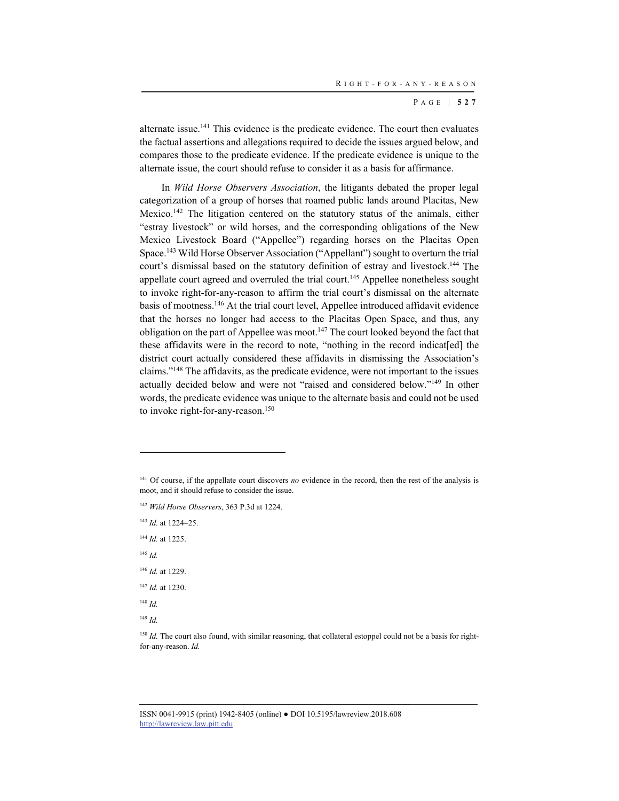alternate issue.141 This evidence is the predicate evidence. The court then evaluates the factual assertions and allegations required to decide the issues argued below, and compares those to the predicate evidence. If the predicate evidence is unique to the alternate issue, the court should refuse to consider it as a basis for affirmance.

In *Wild Horse Observers Association*, the litigants debated the proper legal categorization of a group of horses that roamed public lands around Placitas, New Mexico.<sup>142</sup> The litigation centered on the statutory status of the animals, either "estray livestock" or wild horses, and the corresponding obligations of the New Mexico Livestock Board ("Appellee") regarding horses on the Placitas Open Space.143 Wild Horse Observer Association ("Appellant") sought to overturn the trial court's dismissal based on the statutory definition of estray and livestock.<sup>144</sup> The appellate court agreed and overruled the trial court.<sup>145</sup> Appellee nonetheless sought to invoke right-for-any-reason to affirm the trial court's dismissal on the alternate basis of mootness.<sup>146</sup> At the trial court level, Appellee introduced affidavit evidence that the horses no longer had access to the Placitas Open Space, and thus, any obligation on the part of Appellee was moot.<sup>147</sup> The court looked beyond the fact that these affidavits were in the record to note, "nothing in the record indicat[ed] the district court actually considered these affidavits in dismissing the Association's claims."148 The affidavits, as the predicate evidence, were not important to the issues actually decided below and were not "raised and considered below."149 In other words, the predicate evidence was unique to the alternate basis and could not be used to invoke right-for-any-reason.<sup>150</sup>

<sup>142</sup> *Wild Horse Observers*, 363 P.3d at 1224.

<sup>143</sup> *Id.* at 1224–25.

<sup>144</sup> *Id.* at 1225.

<sup>145</sup> *Id.*

l

<sup>146</sup> *Id.* at 1229. <sup>147</sup> *Id.* at 1230.

<sup>148</sup> *Id.*

<sup>149</sup> *Id.*

<sup>150</sup> *Id.* The court also found, with similar reasoning, that collateral estoppel could not be a basis for rightfor-any-reason. *Id.*

<sup>&</sup>lt;sup>141</sup> Of course, if the appellate court discovers *no* evidence in the record, then the rest of the analysis is moot, and it should refuse to consider the issue.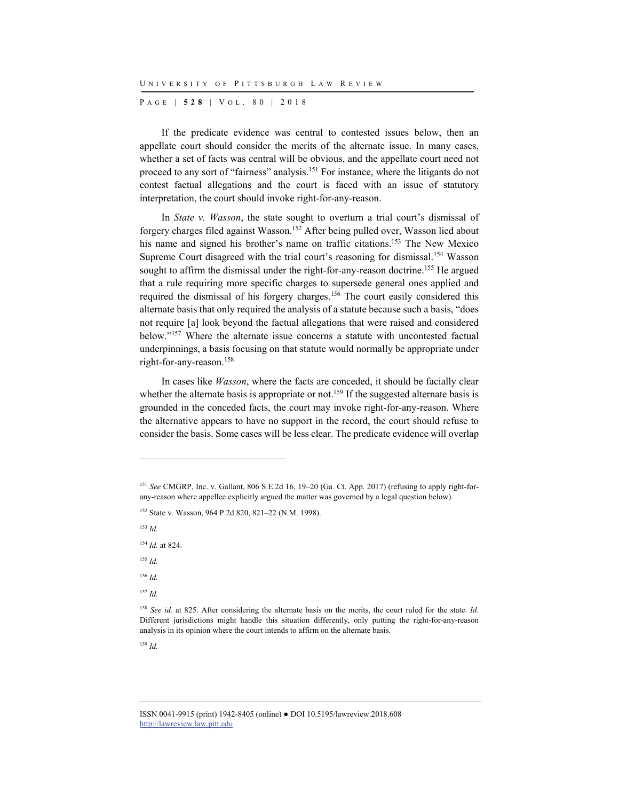P AGE | **528** | V O L . 8 0 | 2018

If the predicate evidence was central to contested issues below, then an appellate court should consider the merits of the alternate issue. In many cases, whether a set of facts was central will be obvious, and the appellate court need not proceed to any sort of "fairness" analysis.151 For instance, where the litigants do not contest factual allegations and the court is faced with an issue of statutory interpretation, the court should invoke right-for-any-reason.

In *State v. Wasson*, the state sought to overturn a trial court's dismissal of forgery charges filed against Wasson.152 After being pulled over, Wasson lied about his name and signed his brother's name on traffic citations.<sup>153</sup> The New Mexico Supreme Court disagreed with the trial court's reasoning for dismissal.<sup>154</sup> Wasson sought to affirm the dismissal under the right-for-any-reason doctrine.<sup>155</sup> He argued that a rule requiring more specific charges to supersede general ones applied and required the dismissal of his forgery charges.156 The court easily considered this alternate basis that only required the analysis of a statute because such a basis, "does not require [a] look beyond the factual allegations that were raised and considered below."157 Where the alternate issue concerns a statute with uncontested factual underpinnings, a basis focusing on that statute would normally be appropriate under right-for-any-reason.158

In cases like *Wasson*, where the facts are conceded, it should be facially clear whether the alternate basis is appropriate or not.<sup>159</sup> If the suggested alternate basis is grounded in the conceded facts, the court may invoke right-for-any-reason. Where the alternative appears to have no support in the record, the court should refuse to consider the basis. Some cases will be less clear. The predicate evidence will overlap

152 State v. Wasson, 964 P.2d 820, 821–22 (N.M. 1998).

<sup>153</sup> *Id.*

l

<sup>154</sup> *Id.* at 824.

<sup>155</sup> *Id.*

<sup>156</sup> *Id.*

<sup>157</sup> *Id.*

<sup>151</sup> *See* CMGRP, Inc. v. Gallant, 806 S.E.2d 16, 19–20 (Ga. Ct. App. 2017) (refusing to apply right-forany-reason where appellee explicitly argued the matter was governed by a legal question below).

<sup>158</sup> *See id.* at 825. After considering the alternate basis on the merits, the court ruled for the state. *Id.* Different jurisdictions might handle this situation differently, only putting the right-for-any-reason analysis in its opinion where the court intends to affirm on the alternate basis.

ISSN 0041-9915 (print) 1942-8405 (online) ● DOI 10.5195/lawreview.2018.608 http://lawreview.law.pitt.edu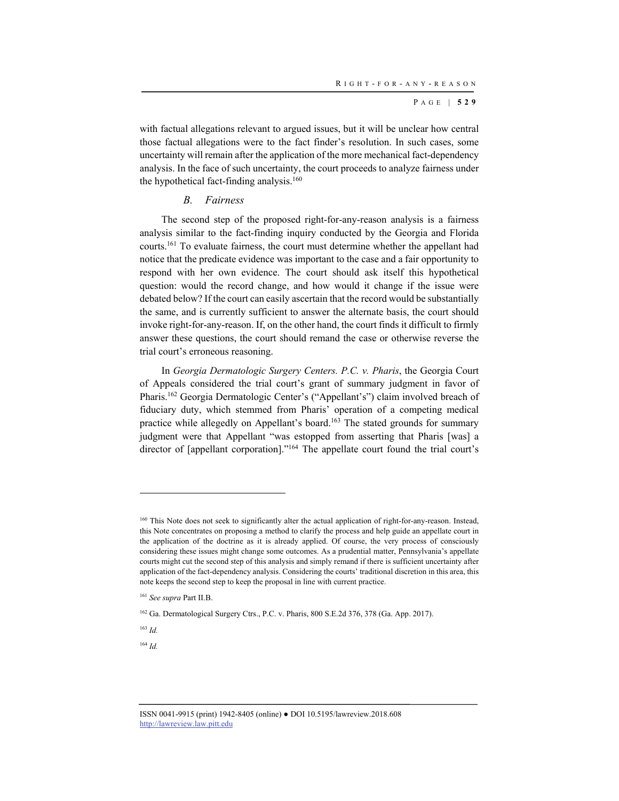with factual allegations relevant to argued issues, but it will be unclear how central those factual allegations were to the fact finder's resolution. In such cases, some uncertainty will remain after the application of the more mechanical fact-dependency analysis. In the face of such uncertainty, the court proceeds to analyze fairness under the hypothetical fact-finding analysis. $160$ 

#### *B. Fairness*

The second step of the proposed right-for-any-reason analysis is a fairness analysis similar to the fact-finding inquiry conducted by the Georgia and Florida courts.161 To evaluate fairness, the court must determine whether the appellant had notice that the predicate evidence was important to the case and a fair opportunity to respond with her own evidence. The court should ask itself this hypothetical question: would the record change, and how would it change if the issue were debated below? If the court can easily ascertain that the record would be substantially the same, and is currently sufficient to answer the alternate basis, the court should invoke right-for-any-reason. If, on the other hand, the court finds it difficult to firmly answer these questions, the court should remand the case or otherwise reverse the trial court's erroneous reasoning.

In *Georgia Dermatologic Surgery Centers. P.C. v. Pharis*, the Georgia Court of Appeals considered the trial court's grant of summary judgment in favor of Pharis.162 Georgia Dermatologic Center's ("Appellant's") claim involved breach of fiduciary duty, which stemmed from Pharis' operation of a competing medical practice while allegedly on Appellant's board.<sup>163</sup> The stated grounds for summary judgment were that Appellant "was estopped from asserting that Pharis [was] a director of [appellant corporation]."164 The appellate court found the trial court's

<sup>163</sup> *Id.*

l

<sup>&</sup>lt;sup>160</sup> This Note does not seek to significantly alter the actual application of right-for-any-reason. Instead, this Note concentrates on proposing a method to clarify the process and help guide an appellate court in the application of the doctrine as it is already applied. Of course, the very process of consciously considering these issues might change some outcomes. As a prudential matter, Pennsylvania's appellate courts might cut the second step of this analysis and simply remand if there is sufficient uncertainty after application of the fact-dependency analysis. Considering the courts' traditional discretion in this area, this note keeps the second step to keep the proposal in line with current practice.

<sup>161</sup> *See supra* Part II.B.

<sup>162</sup> Ga. Dermatological Surgery Ctrs., P.C. v. Pharis, 800 S.E.2d 376, 378 (Ga. App. 2017).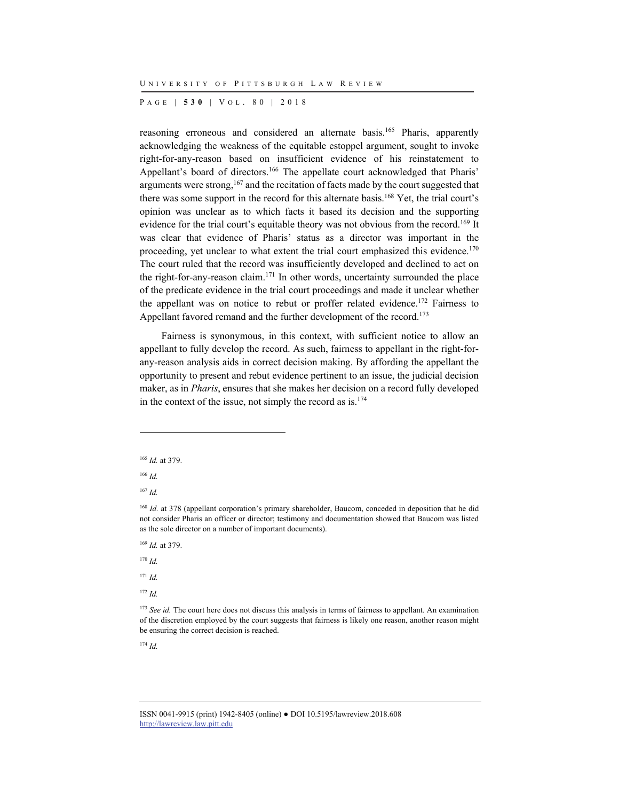P AGE | **530** | V O L . 8 0 | 2018

reasoning erroneous and considered an alternate basis.<sup>165</sup> Pharis, apparently acknowledging the weakness of the equitable estoppel argument, sought to invoke right-for-any-reason based on insufficient evidence of his reinstatement to Appellant's board of directors.<sup>166</sup> The appellate court acknowledged that Pharis' arguments were strong,167 and the recitation of facts made by the court suggested that there was some support in the record for this alternate basis.<sup>168</sup> Yet, the trial court's opinion was unclear as to which facts it based its decision and the supporting evidence for the trial court's equitable theory was not obvious from the record.<sup>169</sup> It was clear that evidence of Pharis' status as a director was important in the proceeding, yet unclear to what extent the trial court emphasized this evidence.<sup>170</sup> The court ruled that the record was insufficiently developed and declined to act on the right-for-any-reason claim.171 In other words, uncertainty surrounded the place of the predicate evidence in the trial court proceedings and made it unclear whether the appellant was on notice to rebut or proffer related evidence.<sup>172</sup> Fairness to Appellant favored remand and the further development of the record.<sup>173</sup>

Fairness is synonymous, in this context, with sufficient notice to allow an appellant to fully develop the record. As such, fairness to appellant in the right-forany-reason analysis aids in correct decision making. By affording the appellant the opportunity to present and rebut evidence pertinent to an issue, the judicial decision maker, as in *Pharis*, ensures that she makes her decision on a record fully developed in the context of the issue, not simply the record as  $is$ .<sup>174</sup>

l

<sup>170</sup> *Id.*

<sup>165</sup> *Id.* at 379.

<sup>166</sup> *Id.*

<sup>167</sup> *Id.*

<sup>&</sup>lt;sup>168</sup> *Id.* at 378 (appellant corporation's primary shareholder, Baucom, conceded in deposition that he did not consider Pharis an officer or director; testimony and documentation showed that Baucom was listed as the sole director on a number of important documents).

<sup>169</sup> *Id.* at 379.

<sup>171</sup> *Id.*

<sup>172</sup> *Id.*

<sup>&</sup>lt;sup>173</sup> See id. The court here does not discuss this analysis in terms of fairness to appellant. An examination of the discretion employed by the court suggests that fairness is likely one reason, another reason might be ensuring the correct decision is reached.

ISSN 0041-9915 (print) 1942-8405 (online) ● DOI 10.5195/lawreview.2018.608 http://lawreview.law.pitt.edu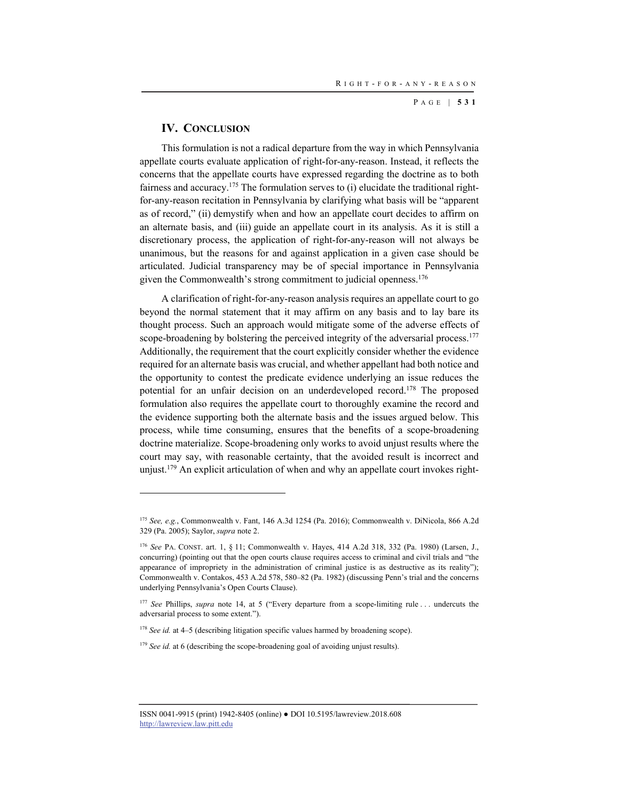### **IV. CONCLUSION**

l

This formulation is not a radical departure from the way in which Pennsylvania appellate courts evaluate application of right-for-any-reason. Instead, it reflects the concerns that the appellate courts have expressed regarding the doctrine as to both fairness and accuracy.<sup>175</sup> The formulation serves to  $(i)$  elucidate the traditional rightfor-any-reason recitation in Pennsylvania by clarifying what basis will be "apparent as of record," (ii) demystify when and how an appellate court decides to affirm on an alternate basis, and (iii) guide an appellate court in its analysis. As it is still a discretionary process, the application of right-for-any-reason will not always be unanimous, but the reasons for and against application in a given case should be articulated. Judicial transparency may be of special importance in Pennsylvania given the Commonwealth's strong commitment to judicial openness.<sup>176</sup>

A clarification of right-for-any-reason analysis requires an appellate court to go beyond the normal statement that it may affirm on any basis and to lay bare its thought process. Such an approach would mitigate some of the adverse effects of scope-broadening by bolstering the perceived integrity of the adversarial process.<sup>177</sup> Additionally, the requirement that the court explicitly consider whether the evidence required for an alternate basis was crucial, and whether appellant had both notice and the opportunity to contest the predicate evidence underlying an issue reduces the potential for an unfair decision on an underdeveloped record.<sup>178</sup> The proposed formulation also requires the appellate court to thoroughly examine the record and the evidence supporting both the alternate basis and the issues argued below. This process, while time consuming, ensures that the benefits of a scope-broadening doctrine materialize. Scope-broadening only works to avoid unjust results where the court may say, with reasonable certainty, that the avoided result is incorrect and unjust.179 An explicit articulation of when and why an appellate court invokes right-

<sup>175</sup> *See, e.g.*, Commonwealth v. Fant, 146 A.3d 1254 (Pa. 2016); Commonwealth v. DiNicola, 866 A.2d 329 (Pa. 2005); Saylor, *supra* note 2.

<sup>176</sup> *See* PA. CONST. art. 1, § 11; Commonwealth v. Hayes, 414 A.2d 318, 332 (Pa. 1980) (Larsen, J., concurring) (pointing out that the open courts clause requires access to criminal and civil trials and "the appearance of impropriety in the administration of criminal justice is as destructive as its reality"); Commonwealth v. Contakos, 453 A.2d 578, 580–82 (Pa. 1982) (discussing Penn's trial and the concerns underlying Pennsylvania's Open Courts Clause).

<sup>177</sup> *See* Phillips, *supra* note 14, at 5 ("Every departure from a scope-limiting rule . . . undercuts the adversarial process to some extent.").

<sup>&</sup>lt;sup>178</sup> *See id.* at 4–5 (describing litigation specific values harmed by broadening scope).

<sup>&</sup>lt;sup>179</sup> *See id.* at 6 (describing the scope-broadening goal of avoiding unjust results).